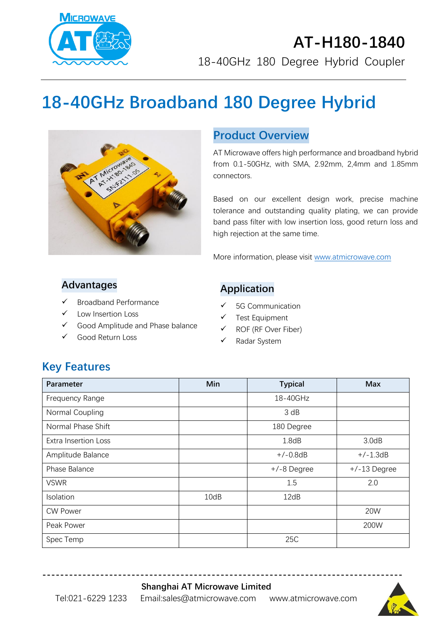

# **AT-H180-1840** 18-40GHz 180 Degree Hybrid Coupler

# **18-40GHz Broadband 180 Degree Hybrid**



#### **Product Overview**

AT Microwave offers high performance and broadband hybrid from 0.1-50GHz, with SMA, 2.92mm, 2,4mm and 1.85mm connectors.

Based on our excellent design work, precise machine tolerance and outstanding quality plating, we can provide band pass filter with low insertion loss, good return loss and high rejection at the same time.

More information, please visit [www.atmicrowave.com](http://www.atmicrowave.com/)

#### **Advantages**

- Broadband Performance
- Low Insertion Loss
- ✓ Good Amplitude and Phase balance
- Good Return Loss

#### **Application**

- 5G Communication
- Test Equipment
- ROF (RF Over Fiber)
- ✓ Radar System

## **Key Features**

| <b>Parameter</b>            | Min  | <b>Typical</b> | <b>Max</b>     |
|-----------------------------|------|----------------|----------------|
| Frequency Range             |      | 18-40GHz       |                |
| Normal Coupling             |      | 3 dB           |                |
| Normal Phase Shift          |      | 180 Degree     |                |
| <b>Extra Insertion Loss</b> |      | 1.8dB          | 3.0dB          |
| Amplitude Balance           |      | $+/-0.8dB$     | $+/-1.3dB$     |
| Phase Balance               |      | +/-8 Degree    | $+/-13$ Degree |
| <b>VSWR</b>                 |      | 1.5            | 2.0            |
| Isolation                   | 10dB | 12dB           |                |
| <b>CW Power</b>             |      |                | <b>20W</b>     |
| Peak Power                  |      |                | 200W           |
| Spec Temp                   |      | 25C            |                |